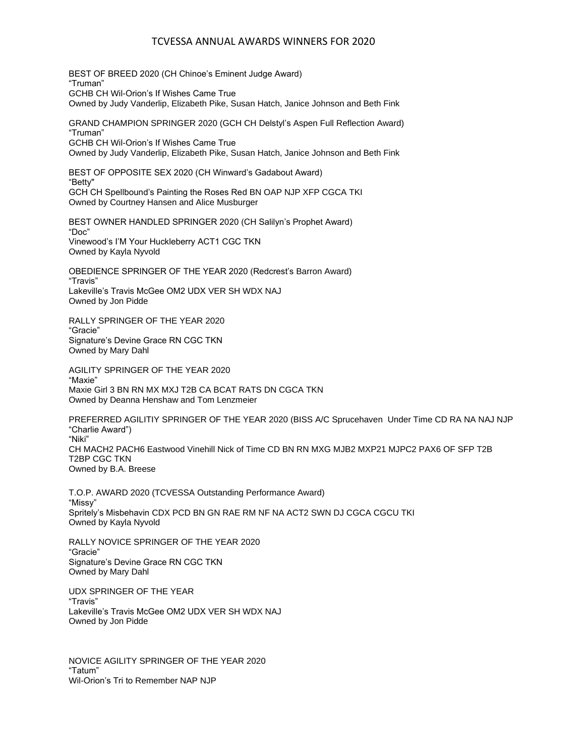### TCVESSA ANNUAL AWARDS WINNERS FOR 2020

BEST OF BREED 2020 (CH Chinoe's Eminent Judge Award) "Truman" GCHB CH Wil-Orion's If Wishes Came True Owned by Judy Vanderlip, Elizabeth Pike, Susan Hatch, Janice Johnson and Beth Fink

GRAND CHAMPION SPRINGER 2020 (GCH CH Delstyl's Aspen Full Reflection Award) "Truman" GCHB CH Wil-Orion's If Wishes Came True

Owned by Judy Vanderlip, Elizabeth Pike, Susan Hatch, Janice Johnson and Beth Fink

BEST OF OPPOSITE SEX 2020 (CH Winward's Gadabout Award) "Betty" GCH CH Spellbound's Painting the Roses Red BN OAP NJP XFP CGCA TKI Owned by Courtney Hansen and Alice Musburger

BEST OWNER HANDLED SPRINGER 2020 (CH Salilyn's Prophet Award) "Doc" Vinewood's I'M Your Huckleberry ACT1 CGC TKN Owned by Kayla Nyvold

OBEDIENCE SPRINGER OF THE YEAR 2020 (Redcrest's Barron Award) "Travis" Lakeville's Travis McGee OM2 UDX VER SH WDX NAJ Owned by Jon Pidde

RALLY SPRINGER OF THE YEAR 2020 "Gracie" Signature's Devine Grace RN CGC TKN Owned by Mary Dahl

AGILITY SPRINGER OF THE YEAR 2020 "Maxie" Maxie Girl 3 BN RN MX MXJ T2B CA BCAT RATS DN CGCA TKN Owned by Deanna Henshaw and Tom Lenzmeier

PREFERRED AGILITIY SPRINGER OF THE YEAR 2020 (BISS A/C Sprucehaven Under Time CD RA NA NAJ NJP "Charlie Award") "Niki" CH MACH2 PACH6 Eastwood Vinehill Nick of Time CD BN RN MXG MJB2 MXP21 MJPC2 PAX6 OF SFP T2B T2BP CGC TKN Owned by B.A. Breese

T.O.P. AWARD 2020 (TCVESSA Outstanding Performance Award) "Missy" Spritely's Misbehavin CDX PCD BN GN RAE RM NF NA ACT2 SWN DJ CGCA CGCU TKI Owned by Kayla Nyvold

RALLY NOVICE SPRINGER OF THE YEAR 2020 "Gracie" Signature's Devine Grace RN CGC TKN Owned by Mary Dahl

UDX SPRINGER OF THE YEAR "Travis" Lakeville's Travis McGee OM2 UDX VER SH WDX NAJ Owned by Jon Pidde

NOVICE AGILITY SPRINGER OF THE YEAR 2020 "Tatum" Wil-Orion's Tri to Remember NAP NJP